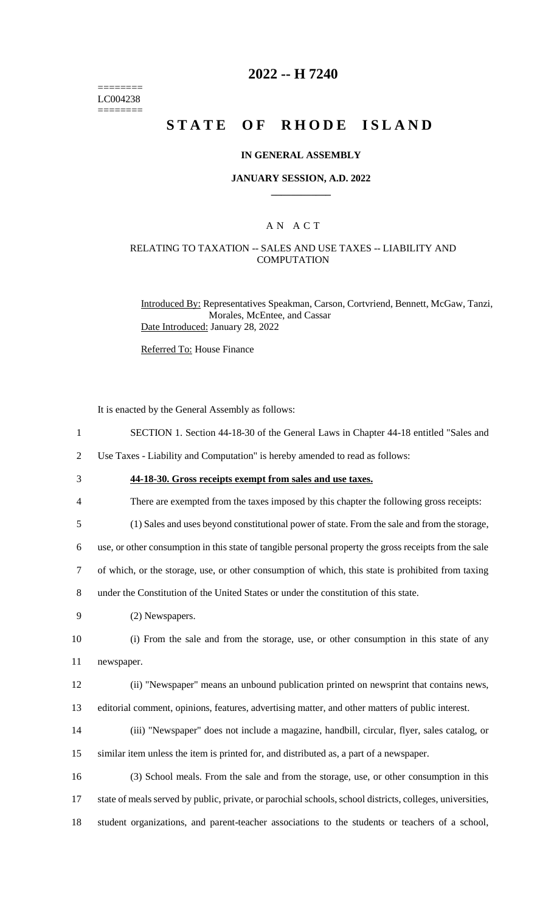======== LC004238 ========

## **2022 -- H 7240**

# **STATE OF RHODE ISLAND**

#### **IN GENERAL ASSEMBLY**

#### **JANUARY SESSION, A.D. 2022 \_\_\_\_\_\_\_\_\_\_\_\_**

## A N A C T

#### RELATING TO TAXATION -- SALES AND USE TAXES -- LIABILITY AND **COMPUTATION**

Introduced By: Representatives Speakman, Carson, Cortvriend, Bennett, McGaw, Tanzi, Morales, McEntee, and Cassar Date Introduced: January 28, 2022

Referred To: House Finance

It is enacted by the General Assembly as follows:

- 1 SECTION 1. Section 44-18-30 of the General Laws in Chapter 44-18 entitled "Sales and
- 2 Use Taxes Liability and Computation" is hereby amended to read as follows:
- 3 **44-18-30. Gross receipts exempt from sales and use taxes.**
- 4 There are exempted from the taxes imposed by this chapter the following gross receipts:
- 
- 5 (1) Sales and uses beyond constitutional power of state. From the sale and from the storage,

6 use, or other consumption in this state of tangible personal property the gross receipts from the sale

- 7 of which, or the storage, use, or other consumption of which, this state is prohibited from taxing
- 8 under the Constitution of the United States or under the constitution of this state.
- 9 (2) Newspapers.

10 (i) From the sale and from the storage, use, or other consumption in this state of any 11 newspaper.

- 12 (ii) "Newspaper" means an unbound publication printed on newsprint that contains news,
- 13 editorial comment, opinions, features, advertising matter, and other matters of public interest.
- 14 (iii) "Newspaper" does not include a magazine, handbill, circular, flyer, sales catalog, or 15 similar item unless the item is printed for, and distributed as, a part of a newspaper.
- 16 (3) School meals. From the sale and from the storage, use, or other consumption in this 17 state of meals served by public, private, or parochial schools, school districts, colleges, universities, 18 student organizations, and parent-teacher associations to the students or teachers of a school,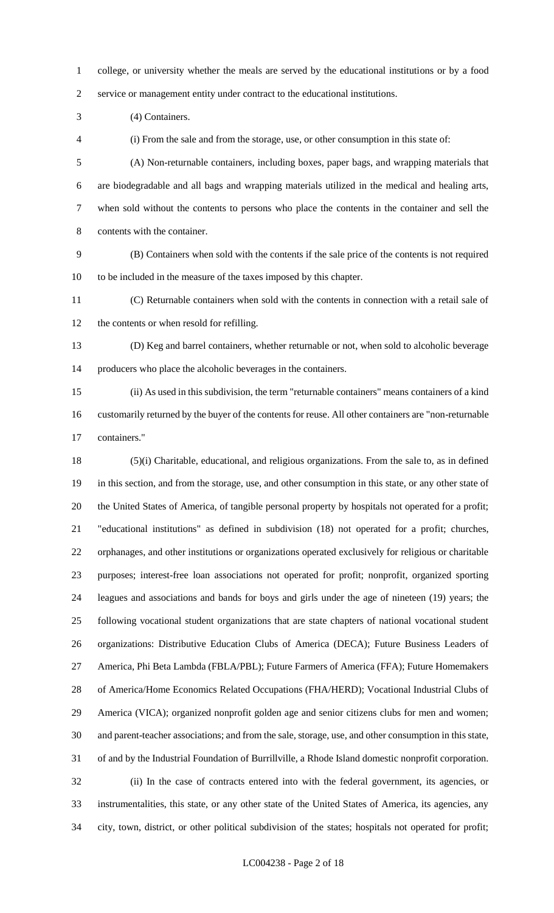college, or university whether the meals are served by the educational institutions or by a food service or management entity under contract to the educational institutions.

(4) Containers.

(i) From the sale and from the storage, use, or other consumption in this state of:

 (A) Non-returnable containers, including boxes, paper bags, and wrapping materials that are biodegradable and all bags and wrapping materials utilized in the medical and healing arts, when sold without the contents to persons who place the contents in the container and sell the contents with the container.

 (B) Containers when sold with the contents if the sale price of the contents is not required to be included in the measure of the taxes imposed by this chapter.

 (C) Returnable containers when sold with the contents in connection with a retail sale of the contents or when resold for refilling.

 (D) Keg and barrel containers, whether returnable or not, when sold to alcoholic beverage producers who place the alcoholic beverages in the containers.

 (ii) As used in this subdivision, the term "returnable containers" means containers of a kind customarily returned by the buyer of the contents for reuse. All other containers are "non-returnable containers."

 (5)(i) Charitable, educational, and religious organizations. From the sale to, as in defined in this section, and from the storage, use, and other consumption in this state, or any other state of the United States of America, of tangible personal property by hospitals not operated for a profit; "educational institutions" as defined in subdivision (18) not operated for a profit; churches, orphanages, and other institutions or organizations operated exclusively for religious or charitable purposes; interest-free loan associations not operated for profit; nonprofit, organized sporting leagues and associations and bands for boys and girls under the age of nineteen (19) years; the following vocational student organizations that are state chapters of national vocational student organizations: Distributive Education Clubs of America (DECA); Future Business Leaders of America, Phi Beta Lambda (FBLA/PBL); Future Farmers of America (FFA); Future Homemakers of America/Home Economics Related Occupations (FHA/HERD); Vocational Industrial Clubs of America (VICA); organized nonprofit golden age and senior citizens clubs for men and women; and parent-teacher associations; and from the sale, storage, use, and other consumption in this state, of and by the Industrial Foundation of Burrillville, a Rhode Island domestic nonprofit corporation. (ii) In the case of contracts entered into with the federal government, its agencies, or instrumentalities, this state, or any other state of the United States of America, its agencies, any city, town, district, or other political subdivision of the states; hospitals not operated for profit;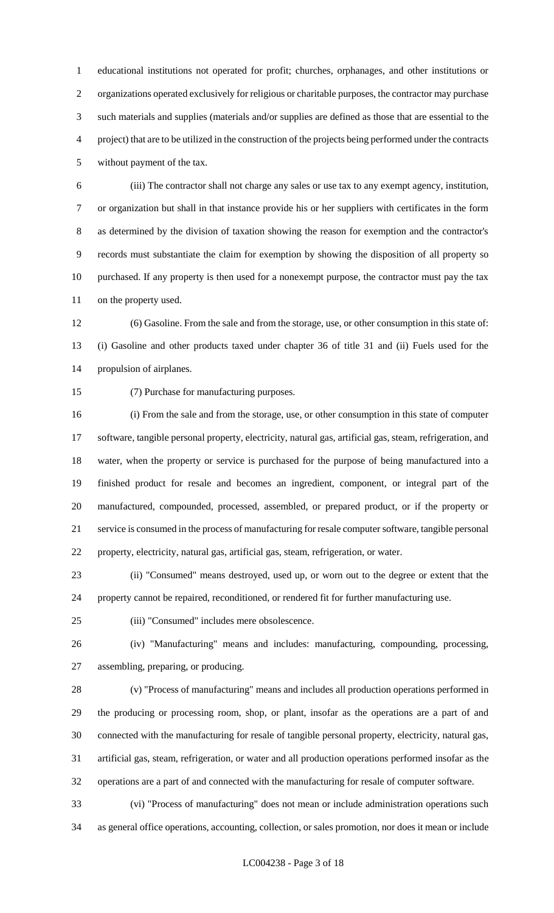educational institutions not operated for profit; churches, orphanages, and other institutions or organizations operated exclusively for religious or charitable purposes, the contractor may purchase such materials and supplies (materials and/or supplies are defined as those that are essential to the project) that are to be utilized in the construction of the projects being performed under the contracts without payment of the tax.

 (iii) The contractor shall not charge any sales or use tax to any exempt agency, institution, or organization but shall in that instance provide his or her suppliers with certificates in the form as determined by the division of taxation showing the reason for exemption and the contractor's records must substantiate the claim for exemption by showing the disposition of all property so purchased. If any property is then used for a nonexempt purpose, the contractor must pay the tax on the property used.

 (6) Gasoline. From the sale and from the storage, use, or other consumption in this state of: (i) Gasoline and other products taxed under chapter 36 of title 31 and (ii) Fuels used for the propulsion of airplanes.

(7) Purchase for manufacturing purposes.

 (i) From the sale and from the storage, use, or other consumption in this state of computer software, tangible personal property, electricity, natural gas, artificial gas, steam, refrigeration, and water, when the property or service is purchased for the purpose of being manufactured into a finished product for resale and becomes an ingredient, component, or integral part of the manufactured, compounded, processed, assembled, or prepared product, or if the property or service is consumed in the process of manufacturing for resale computer software, tangible personal property, electricity, natural gas, artificial gas, steam, refrigeration, or water.

 (ii) "Consumed" means destroyed, used up, or worn out to the degree or extent that the property cannot be repaired, reconditioned, or rendered fit for further manufacturing use.

(iii) "Consumed" includes mere obsolescence.

 (iv) "Manufacturing" means and includes: manufacturing, compounding, processing, assembling, preparing, or producing.

 (v) "Process of manufacturing" means and includes all production operations performed in the producing or processing room, shop, or plant, insofar as the operations are a part of and connected with the manufacturing for resale of tangible personal property, electricity, natural gas, artificial gas, steam, refrigeration, or water and all production operations performed insofar as the operations are a part of and connected with the manufacturing for resale of computer software.

 (vi) "Process of manufacturing" does not mean or include administration operations such as general office operations, accounting, collection, or sales promotion, nor does it mean or include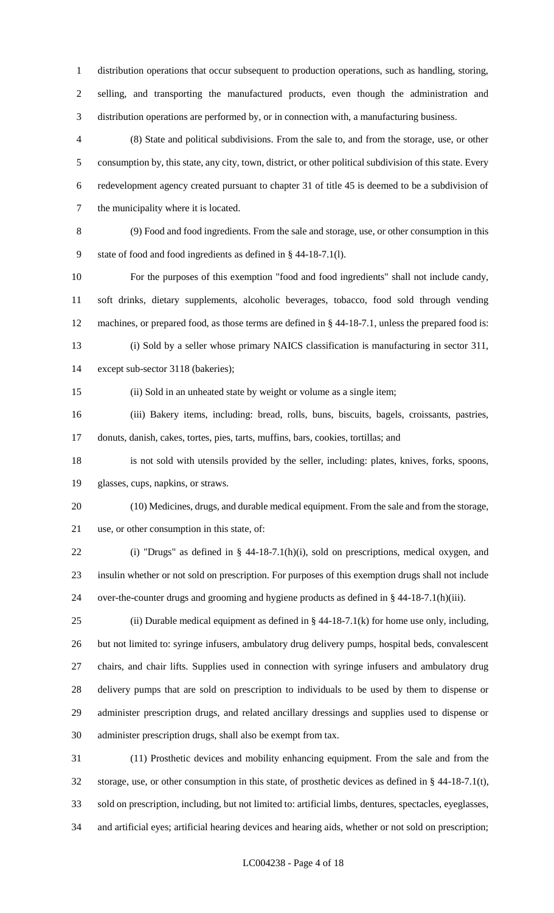distribution operations that occur subsequent to production operations, such as handling, storing, selling, and transporting the manufactured products, even though the administration and distribution operations are performed by, or in connection with, a manufacturing business.

 (8) State and political subdivisions. From the sale to, and from the storage, use, or other consumption by, this state, any city, town, district, or other political subdivision of this state. Every redevelopment agency created pursuant to chapter 31 of title 45 is deemed to be a subdivision of the municipality where it is located.

 (9) Food and food ingredients. From the sale and storage, use, or other consumption in this state of food and food ingredients as defined in § 44-18-7.1(l).

 For the purposes of this exemption "food and food ingredients" shall not include candy, soft drinks, dietary supplements, alcoholic beverages, tobacco, food sold through vending machines, or prepared food, as those terms are defined in § 44-18-7.1, unless the prepared food is: (i) Sold by a seller whose primary NAICS classification is manufacturing in sector 311,

except sub-sector 3118 (bakeries);

(ii) Sold in an unheated state by weight or volume as a single item;

 (iii) Bakery items, including: bread, rolls, buns, biscuits, bagels, croissants, pastries, donuts, danish, cakes, tortes, pies, tarts, muffins, bars, cookies, tortillas; and

 is not sold with utensils provided by the seller, including: plates, knives, forks, spoons, glasses, cups, napkins, or straws.

 (10) Medicines, drugs, and durable medical equipment. From the sale and from the storage, use, or other consumption in this state, of:

 (i) "Drugs" as defined in § 44-18-7.1(h)(i), sold on prescriptions, medical oxygen, and insulin whether or not sold on prescription. For purposes of this exemption drugs shall not include over-the-counter drugs and grooming and hygiene products as defined in § 44-18-7.1(h)(iii).

25 (ii) Durable medical equipment as defined in  $\S$  44-18-7.1(k) for home use only, including, but not limited to: syringe infusers, ambulatory drug delivery pumps, hospital beds, convalescent chairs, and chair lifts. Supplies used in connection with syringe infusers and ambulatory drug delivery pumps that are sold on prescription to individuals to be used by them to dispense or administer prescription drugs, and related ancillary dressings and supplies used to dispense or administer prescription drugs, shall also be exempt from tax.

 (11) Prosthetic devices and mobility enhancing equipment. From the sale and from the storage, use, or other consumption in this state, of prosthetic devices as defined in § 44-18-7.1(t), sold on prescription, including, but not limited to: artificial limbs, dentures, spectacles, eyeglasses, and artificial eyes; artificial hearing devices and hearing aids, whether or not sold on prescription;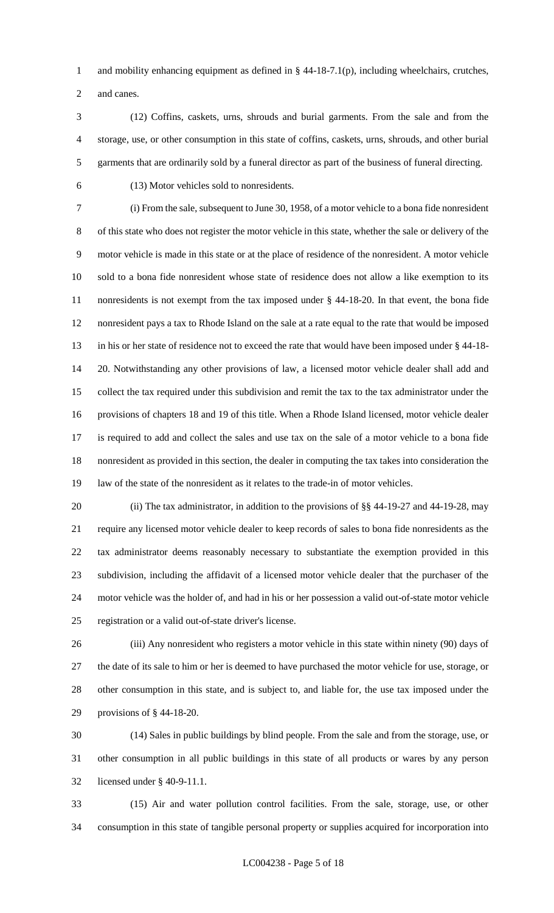1 and mobility enhancing equipment as defined in § 44-18-7.1(p), including wheelchairs, crutches,

and canes.

 (12) Coffins, caskets, urns, shrouds and burial garments. From the sale and from the storage, use, or other consumption in this state of coffins, caskets, urns, shrouds, and other burial garments that are ordinarily sold by a funeral director as part of the business of funeral directing.

(13) Motor vehicles sold to nonresidents.

 (i) From the sale, subsequent to June 30, 1958, of a motor vehicle to a bona fide nonresident of this state who does not register the motor vehicle in this state, whether the sale or delivery of the motor vehicle is made in this state or at the place of residence of the nonresident. A motor vehicle sold to a bona fide nonresident whose state of residence does not allow a like exemption to its nonresidents is not exempt from the tax imposed under § 44-18-20. In that event, the bona fide nonresident pays a tax to Rhode Island on the sale at a rate equal to the rate that would be imposed in his or her state of residence not to exceed the rate that would have been imposed under § 44-18- 20. Notwithstanding any other provisions of law, a licensed motor vehicle dealer shall add and collect the tax required under this subdivision and remit the tax to the tax administrator under the provisions of chapters 18 and 19 of this title. When a Rhode Island licensed, motor vehicle dealer is required to add and collect the sales and use tax on the sale of a motor vehicle to a bona fide nonresident as provided in this section, the dealer in computing the tax takes into consideration the law of the state of the nonresident as it relates to the trade-in of motor vehicles.

20 (ii) The tax administrator, in addition to the provisions of §§ 44-19-27 and 44-19-28, may require any licensed motor vehicle dealer to keep records of sales to bona fide nonresidents as the tax administrator deems reasonably necessary to substantiate the exemption provided in this subdivision, including the affidavit of a licensed motor vehicle dealer that the purchaser of the motor vehicle was the holder of, and had in his or her possession a valid out-of-state motor vehicle registration or a valid out-of-state driver's license.

 (iii) Any nonresident who registers a motor vehicle in this state within ninety (90) days of the date of its sale to him or her is deemed to have purchased the motor vehicle for use, storage, or other consumption in this state, and is subject to, and liable for, the use tax imposed under the provisions of § 44-18-20.

 (14) Sales in public buildings by blind people. From the sale and from the storage, use, or other consumption in all public buildings in this state of all products or wares by any person licensed under § 40-9-11.1.

 (15) Air and water pollution control facilities. From the sale, storage, use, or other consumption in this state of tangible personal property or supplies acquired for incorporation into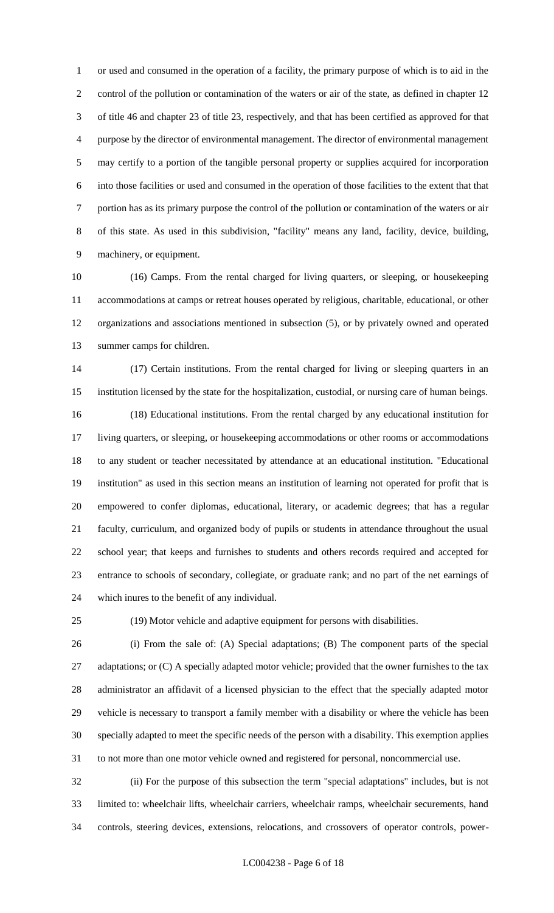or used and consumed in the operation of a facility, the primary purpose of which is to aid in the control of the pollution or contamination of the waters or air of the state, as defined in chapter 12 of title 46 and chapter 23 of title 23, respectively, and that has been certified as approved for that purpose by the director of environmental management. The director of environmental management may certify to a portion of the tangible personal property or supplies acquired for incorporation into those facilities or used and consumed in the operation of those facilities to the extent that that portion has as its primary purpose the control of the pollution or contamination of the waters or air of this state. As used in this subdivision, "facility" means any land, facility, device, building, machinery, or equipment.

 (16) Camps. From the rental charged for living quarters, or sleeping, or housekeeping accommodations at camps or retreat houses operated by religious, charitable, educational, or other organizations and associations mentioned in subsection (5), or by privately owned and operated summer camps for children.

 (17) Certain institutions. From the rental charged for living or sleeping quarters in an institution licensed by the state for the hospitalization, custodial, or nursing care of human beings. (18) Educational institutions. From the rental charged by any educational institution for living quarters, or sleeping, or housekeeping accommodations or other rooms or accommodations to any student or teacher necessitated by attendance at an educational institution. "Educational institution" as used in this section means an institution of learning not operated for profit that is empowered to confer diplomas, educational, literary, or academic degrees; that has a regular faculty, curriculum, and organized body of pupils or students in attendance throughout the usual school year; that keeps and furnishes to students and others records required and accepted for entrance to schools of secondary, collegiate, or graduate rank; and no part of the net earnings of which inures to the benefit of any individual.

(19) Motor vehicle and adaptive equipment for persons with disabilities.

 (i) From the sale of: (A) Special adaptations; (B) The component parts of the special 27 adaptations; or (C) A specially adapted motor vehicle; provided that the owner furnishes to the tax administrator an affidavit of a licensed physician to the effect that the specially adapted motor vehicle is necessary to transport a family member with a disability or where the vehicle has been specially adapted to meet the specific needs of the person with a disability. This exemption applies to not more than one motor vehicle owned and registered for personal, noncommercial use.

 (ii) For the purpose of this subsection the term "special adaptations" includes, but is not limited to: wheelchair lifts, wheelchair carriers, wheelchair ramps, wheelchair securements, hand controls, steering devices, extensions, relocations, and crossovers of operator controls, power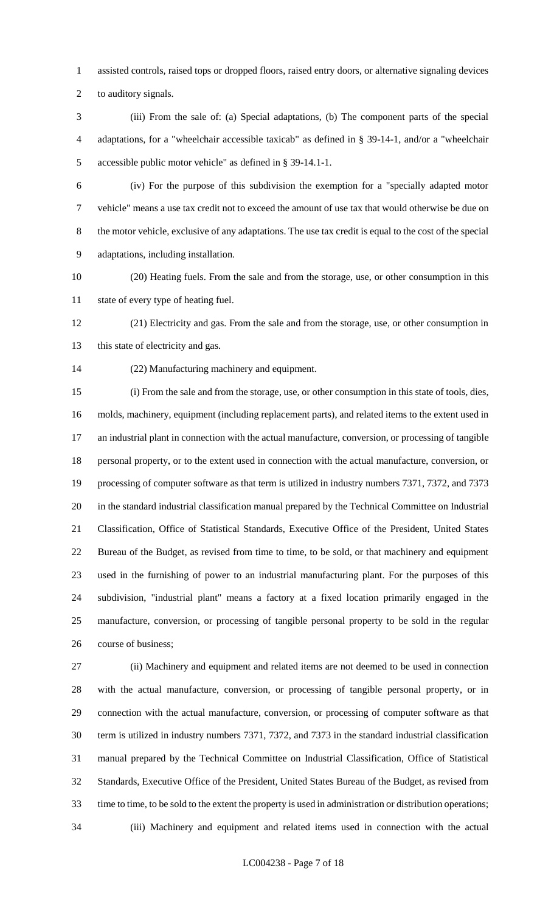assisted controls, raised tops or dropped floors, raised entry doors, or alternative signaling devices

to auditory signals.

 (iii) From the sale of: (a) Special adaptations, (b) The component parts of the special adaptations, for a "wheelchair accessible taxicab" as defined in § 39-14-1, and/or a "wheelchair accessible public motor vehicle" as defined in § 39-14.1-1.

 (iv) For the purpose of this subdivision the exemption for a "specially adapted motor vehicle" means a use tax credit not to exceed the amount of use tax that would otherwise be due on the motor vehicle, exclusive of any adaptations. The use tax credit is equal to the cost of the special adaptations, including installation.

 (20) Heating fuels. From the sale and from the storage, use, or other consumption in this state of every type of heating fuel.

 (21) Electricity and gas. From the sale and from the storage, use, or other consumption in 13 this state of electricity and gas.

(22) Manufacturing machinery and equipment.

 (i) From the sale and from the storage, use, or other consumption in this state of tools, dies, molds, machinery, equipment (including replacement parts), and related items to the extent used in an industrial plant in connection with the actual manufacture, conversion, or processing of tangible personal property, or to the extent used in connection with the actual manufacture, conversion, or processing of computer software as that term is utilized in industry numbers 7371, 7372, and 7373 in the standard industrial classification manual prepared by the Technical Committee on Industrial Classification, Office of Statistical Standards, Executive Office of the President, United States Bureau of the Budget, as revised from time to time, to be sold, or that machinery and equipment used in the furnishing of power to an industrial manufacturing plant. For the purposes of this subdivision, "industrial plant" means a factory at a fixed location primarily engaged in the manufacture, conversion, or processing of tangible personal property to be sold in the regular course of business;

 (ii) Machinery and equipment and related items are not deemed to be used in connection with the actual manufacture, conversion, or processing of tangible personal property, or in connection with the actual manufacture, conversion, or processing of computer software as that term is utilized in industry numbers 7371, 7372, and 7373 in the standard industrial classification manual prepared by the Technical Committee on Industrial Classification, Office of Statistical Standards, Executive Office of the President, United States Bureau of the Budget, as revised from time to time, to be sold to the extent the property is used in administration or distribution operations; (iii) Machinery and equipment and related items used in connection with the actual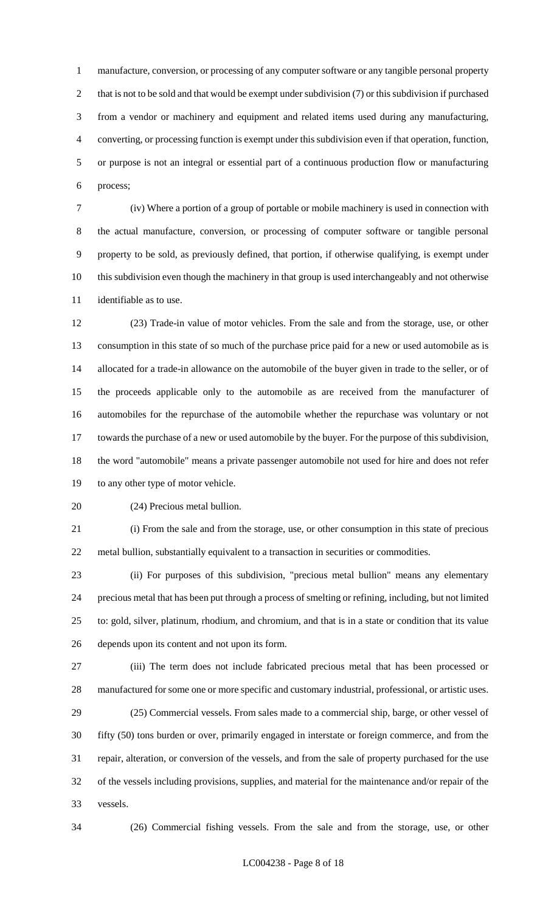manufacture, conversion, or processing of any computer software or any tangible personal property 2 that is not to be sold and that would be exempt under subdivision (7) or this subdivision if purchased from a vendor or machinery and equipment and related items used during any manufacturing, converting, or processing function is exempt under this subdivision even if that operation, function, or purpose is not an integral or essential part of a continuous production flow or manufacturing process;

 (iv) Where a portion of a group of portable or mobile machinery is used in connection with the actual manufacture, conversion, or processing of computer software or tangible personal property to be sold, as previously defined, that portion, if otherwise qualifying, is exempt under this subdivision even though the machinery in that group is used interchangeably and not otherwise identifiable as to use.

 (23) Trade-in value of motor vehicles. From the sale and from the storage, use, or other consumption in this state of so much of the purchase price paid for a new or used automobile as is allocated for a trade-in allowance on the automobile of the buyer given in trade to the seller, or of the proceeds applicable only to the automobile as are received from the manufacturer of automobiles for the repurchase of the automobile whether the repurchase was voluntary or not towards the purchase of a new or used automobile by the buyer. For the purpose of this subdivision, the word "automobile" means a private passenger automobile not used for hire and does not refer to any other type of motor vehicle.

(24) Precious metal bullion.

 (i) From the sale and from the storage, use, or other consumption in this state of precious metal bullion, substantially equivalent to a transaction in securities or commodities.

 (ii) For purposes of this subdivision, "precious metal bullion" means any elementary precious metal that has been put through a process of smelting or refining, including, but not limited to: gold, silver, platinum, rhodium, and chromium, and that is in a state or condition that its value depends upon its content and not upon its form.

 (iii) The term does not include fabricated precious metal that has been processed or manufactured for some one or more specific and customary industrial, professional, or artistic uses. (25) Commercial vessels. From sales made to a commercial ship, barge, or other vessel of

 fifty (50) tons burden or over, primarily engaged in interstate or foreign commerce, and from the repair, alteration, or conversion of the vessels, and from the sale of property purchased for the use of the vessels including provisions, supplies, and material for the maintenance and/or repair of the vessels.

(26) Commercial fishing vessels. From the sale and from the storage, use, or other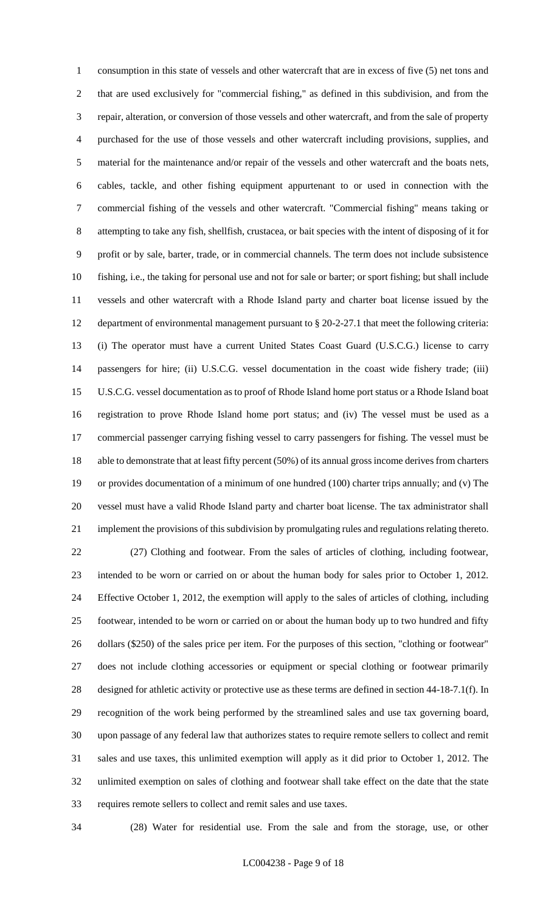consumption in this state of vessels and other watercraft that are in excess of five (5) net tons and that are used exclusively for "commercial fishing," as defined in this subdivision, and from the repair, alteration, or conversion of those vessels and other watercraft, and from the sale of property purchased for the use of those vessels and other watercraft including provisions, supplies, and material for the maintenance and/or repair of the vessels and other watercraft and the boats nets, cables, tackle, and other fishing equipment appurtenant to or used in connection with the commercial fishing of the vessels and other watercraft. "Commercial fishing" means taking or attempting to take any fish, shellfish, crustacea, or bait species with the intent of disposing of it for profit or by sale, barter, trade, or in commercial channels. The term does not include subsistence fishing, i.e., the taking for personal use and not for sale or barter; or sport fishing; but shall include vessels and other watercraft with a Rhode Island party and charter boat license issued by the department of environmental management pursuant to § 20-2-27.1 that meet the following criteria: (i) The operator must have a current United States Coast Guard (U.S.C.G.) license to carry passengers for hire; (ii) U.S.C.G. vessel documentation in the coast wide fishery trade; (iii) U.S.C.G. vessel documentation as to proof of Rhode Island home port status or a Rhode Island boat registration to prove Rhode Island home port status; and (iv) The vessel must be used as a commercial passenger carrying fishing vessel to carry passengers for fishing. The vessel must be able to demonstrate that at least fifty percent (50%) of its annual gross income derives from charters or provides documentation of a minimum of one hundred (100) charter trips annually; and (v) The vessel must have a valid Rhode Island party and charter boat license. The tax administrator shall implement the provisions of this subdivision by promulgating rules and regulations relating thereto. (27) Clothing and footwear. From the sales of articles of clothing, including footwear, intended to be worn or carried on or about the human body for sales prior to October 1, 2012. Effective October 1, 2012, the exemption will apply to the sales of articles of clothing, including footwear, intended to be worn or carried on or about the human body up to two hundred and fifty dollars (\$250) of the sales price per item. For the purposes of this section, "clothing or footwear" does not include clothing accessories or equipment or special clothing or footwear primarily designed for athletic activity or protective use as these terms are defined in section 44-18-7.1(f). In recognition of the work being performed by the streamlined sales and use tax governing board, upon passage of any federal law that authorizes states to require remote sellers to collect and remit sales and use taxes, this unlimited exemption will apply as it did prior to October 1, 2012. The unlimited exemption on sales of clothing and footwear shall take effect on the date that the state requires remote sellers to collect and remit sales and use taxes.

(28) Water for residential use. From the sale and from the storage, use, or other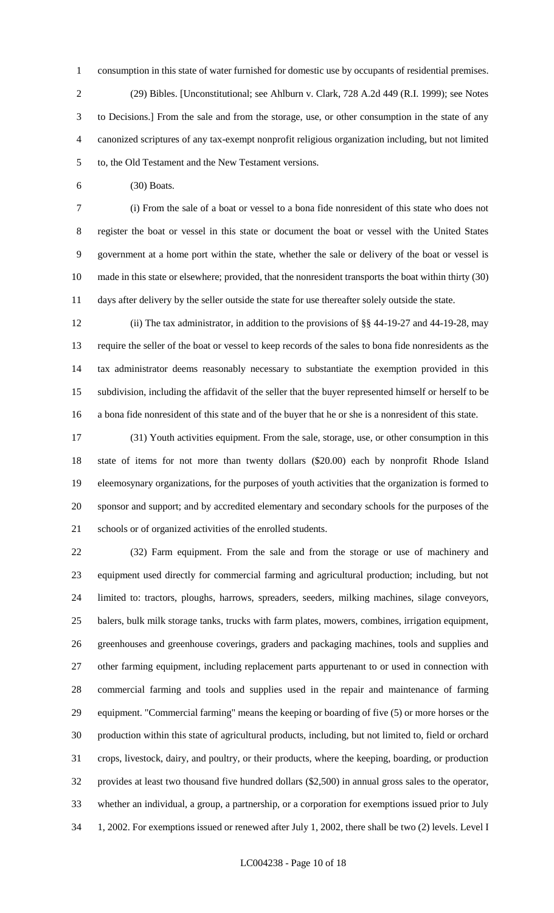consumption in this state of water furnished for domestic use by occupants of residential premises. (29) Bibles. [Unconstitutional; see Ahlburn v. Clark, 728 A.2d 449 (R.I. 1999); see Notes to Decisions.] From the sale and from the storage, use, or other consumption in the state of any canonized scriptures of any tax-exempt nonprofit religious organization including, but not limited

to, the Old Testament and the New Testament versions.

(30) Boats.

 (i) From the sale of a boat or vessel to a bona fide nonresident of this state who does not register the boat or vessel in this state or document the boat or vessel with the United States government at a home port within the state, whether the sale or delivery of the boat or vessel is made in this state or elsewhere; provided, that the nonresident transports the boat within thirty (30) days after delivery by the seller outside the state for use thereafter solely outside the state.

 (ii) The tax administrator, in addition to the provisions of §§ 44-19-27 and 44-19-28, may require the seller of the boat or vessel to keep records of the sales to bona fide nonresidents as the tax administrator deems reasonably necessary to substantiate the exemption provided in this subdivision, including the affidavit of the seller that the buyer represented himself or herself to be a bona fide nonresident of this state and of the buyer that he or she is a nonresident of this state.

 (31) Youth activities equipment. From the sale, storage, use, or other consumption in this state of items for not more than twenty dollars (\$20.00) each by nonprofit Rhode Island eleemosynary organizations, for the purposes of youth activities that the organization is formed to sponsor and support; and by accredited elementary and secondary schools for the purposes of the schools or of organized activities of the enrolled students.

 (32) Farm equipment. From the sale and from the storage or use of machinery and equipment used directly for commercial farming and agricultural production; including, but not limited to: tractors, ploughs, harrows, spreaders, seeders, milking machines, silage conveyors, balers, bulk milk storage tanks, trucks with farm plates, mowers, combines, irrigation equipment, greenhouses and greenhouse coverings, graders and packaging machines, tools and supplies and other farming equipment, including replacement parts appurtenant to or used in connection with commercial farming and tools and supplies used in the repair and maintenance of farming equipment. "Commercial farming" means the keeping or boarding of five (5) or more horses or the production within this state of agricultural products, including, but not limited to, field or orchard crops, livestock, dairy, and poultry, or their products, where the keeping, boarding, or production provides at least two thousand five hundred dollars (\$2,500) in annual gross sales to the operator, whether an individual, a group, a partnership, or a corporation for exemptions issued prior to July 1, 2002. For exemptions issued or renewed after July 1, 2002, there shall be two (2) levels. Level I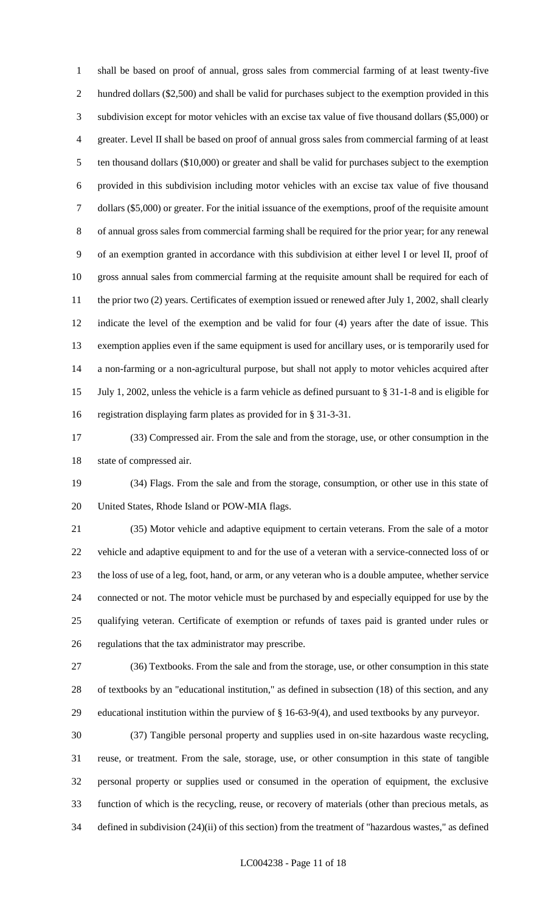shall be based on proof of annual, gross sales from commercial farming of at least twenty-five hundred dollars (\$2,500) and shall be valid for purchases subject to the exemption provided in this subdivision except for motor vehicles with an excise tax value of five thousand dollars (\$5,000) or greater. Level II shall be based on proof of annual gross sales from commercial farming of at least ten thousand dollars (\$10,000) or greater and shall be valid for purchases subject to the exemption provided in this subdivision including motor vehicles with an excise tax value of five thousand dollars (\$5,000) or greater. For the initial issuance of the exemptions, proof of the requisite amount of annual gross sales from commercial farming shall be required for the prior year; for any renewal of an exemption granted in accordance with this subdivision at either level I or level II, proof of gross annual sales from commercial farming at the requisite amount shall be required for each of 11 the prior two (2) years. Certificates of exemption issued or renewed after July 1, 2002, shall clearly indicate the level of the exemption and be valid for four (4) years after the date of issue. This exemption applies even if the same equipment is used for ancillary uses, or is temporarily used for a non-farming or a non-agricultural purpose, but shall not apply to motor vehicles acquired after July 1, 2002, unless the vehicle is a farm vehicle as defined pursuant to § 31-1-8 and is eligible for registration displaying farm plates as provided for in § 31-3-31.

 (33) Compressed air. From the sale and from the storage, use, or other consumption in the state of compressed air.

 (34) Flags. From the sale and from the storage, consumption, or other use in this state of United States, Rhode Island or POW-MIA flags.

 (35) Motor vehicle and adaptive equipment to certain veterans. From the sale of a motor vehicle and adaptive equipment to and for the use of a veteran with a service-connected loss of or the loss of use of a leg, foot, hand, or arm, or any veteran who is a double amputee, whether service connected or not. The motor vehicle must be purchased by and especially equipped for use by the qualifying veteran. Certificate of exemption or refunds of taxes paid is granted under rules or regulations that the tax administrator may prescribe.

 (36) Textbooks. From the sale and from the storage, use, or other consumption in this state of textbooks by an "educational institution," as defined in subsection (18) of this section, and any educational institution within the purview of § 16-63-9(4), and used textbooks by any purveyor.

 (37) Tangible personal property and supplies used in on-site hazardous waste recycling, reuse, or treatment. From the sale, storage, use, or other consumption in this state of tangible personal property or supplies used or consumed in the operation of equipment, the exclusive function of which is the recycling, reuse, or recovery of materials (other than precious metals, as defined in subdivision (24)(ii) of this section) from the treatment of "hazardous wastes," as defined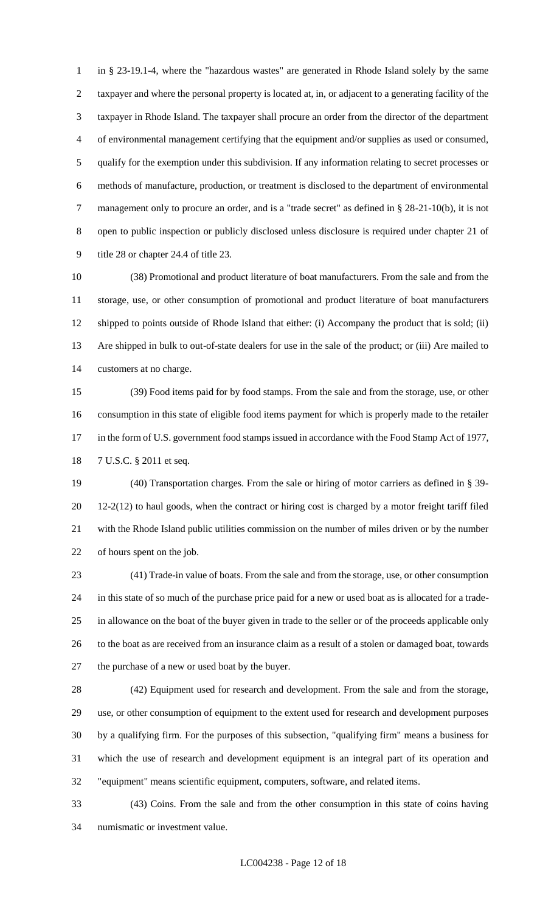in § 23-19.1-4, where the "hazardous wastes" are generated in Rhode Island solely by the same taxpayer and where the personal property is located at, in, or adjacent to a generating facility of the taxpayer in Rhode Island. The taxpayer shall procure an order from the director of the department of environmental management certifying that the equipment and/or supplies as used or consumed, qualify for the exemption under this subdivision. If any information relating to secret processes or methods of manufacture, production, or treatment is disclosed to the department of environmental management only to procure an order, and is a "trade secret" as defined in § 28-21-10(b), it is not open to public inspection or publicly disclosed unless disclosure is required under chapter 21 of title 28 or chapter 24.4 of title 23.

 (38) Promotional and product literature of boat manufacturers. From the sale and from the storage, use, or other consumption of promotional and product literature of boat manufacturers shipped to points outside of Rhode Island that either: (i) Accompany the product that is sold; (ii) Are shipped in bulk to out-of-state dealers for use in the sale of the product; or (iii) Are mailed to customers at no charge.

 (39) Food items paid for by food stamps. From the sale and from the storage, use, or other consumption in this state of eligible food items payment for which is properly made to the retailer 17 in the form of U.S. government food stamps issued in accordance with the Food Stamp Act of 1977, 7 U.S.C. § 2011 et seq.

 (40) Transportation charges. From the sale or hiring of motor carriers as defined in § 39- 12-2(12) to haul goods, when the contract or hiring cost is charged by a motor freight tariff filed with the Rhode Island public utilities commission on the number of miles driven or by the number of hours spent on the job.

 (41) Trade-in value of boats. From the sale and from the storage, use, or other consumption in this state of so much of the purchase price paid for a new or used boat as is allocated for a trade- in allowance on the boat of the buyer given in trade to the seller or of the proceeds applicable only to the boat as are received from an insurance claim as a result of a stolen or damaged boat, towards the purchase of a new or used boat by the buyer.

 (42) Equipment used for research and development. From the sale and from the storage, use, or other consumption of equipment to the extent used for research and development purposes by a qualifying firm. For the purposes of this subsection, "qualifying firm" means a business for which the use of research and development equipment is an integral part of its operation and "equipment" means scientific equipment, computers, software, and related items.

 (43) Coins. From the sale and from the other consumption in this state of coins having numismatic or investment value.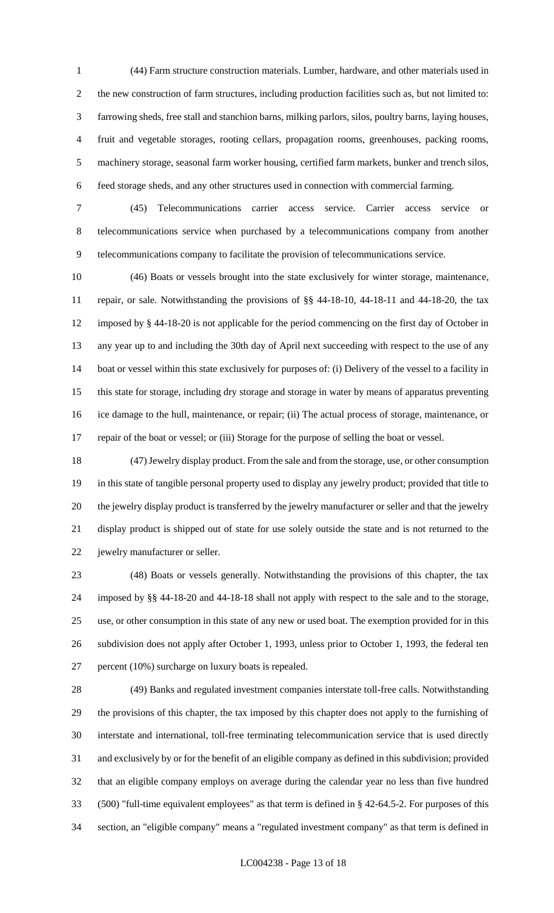(44) Farm structure construction materials. Lumber, hardware, and other materials used in the new construction of farm structures, including production facilities such as, but not limited to: farrowing sheds, free stall and stanchion barns, milking parlors, silos, poultry barns, laying houses, fruit and vegetable storages, rooting cellars, propagation rooms, greenhouses, packing rooms, machinery storage, seasonal farm worker housing, certified farm markets, bunker and trench silos, feed storage sheds, and any other structures used in connection with commercial farming.

 (45) Telecommunications carrier access service. Carrier access service or telecommunications service when purchased by a telecommunications company from another telecommunications company to facilitate the provision of telecommunications service.

 (46) Boats or vessels brought into the state exclusively for winter storage, maintenance, repair, or sale. Notwithstanding the provisions of §§ 44-18-10, 44-18-11 and 44-18-20, the tax imposed by § 44-18-20 is not applicable for the period commencing on the first day of October in any year up to and including the 30th day of April next succeeding with respect to the use of any boat or vessel within this state exclusively for purposes of: (i) Delivery of the vessel to a facility in this state for storage, including dry storage and storage in water by means of apparatus preventing ice damage to the hull, maintenance, or repair; (ii) The actual process of storage, maintenance, or repair of the boat or vessel; or (iii) Storage for the purpose of selling the boat or vessel.

 (47) Jewelry display product. From the sale and from the storage, use, or other consumption in this state of tangible personal property used to display any jewelry product; provided that title to the jewelry display product is transferred by the jewelry manufacturer or seller and that the jewelry display product is shipped out of state for use solely outside the state and is not returned to the jewelry manufacturer or seller.

 (48) Boats or vessels generally. Notwithstanding the provisions of this chapter, the tax imposed by §§ 44-18-20 and 44-18-18 shall not apply with respect to the sale and to the storage, use, or other consumption in this state of any new or used boat. The exemption provided for in this subdivision does not apply after October 1, 1993, unless prior to October 1, 1993, the federal ten percent (10%) surcharge on luxury boats is repealed.

 (49) Banks and regulated investment companies interstate toll-free calls. Notwithstanding the provisions of this chapter, the tax imposed by this chapter does not apply to the furnishing of interstate and international, toll-free terminating telecommunication service that is used directly and exclusively by or for the benefit of an eligible company as defined in this subdivision; provided that an eligible company employs on average during the calendar year no less than five hundred (500) "full-time equivalent employees" as that term is defined in § 42-64.5-2. For purposes of this section, an "eligible company" means a "regulated investment company" as that term is defined in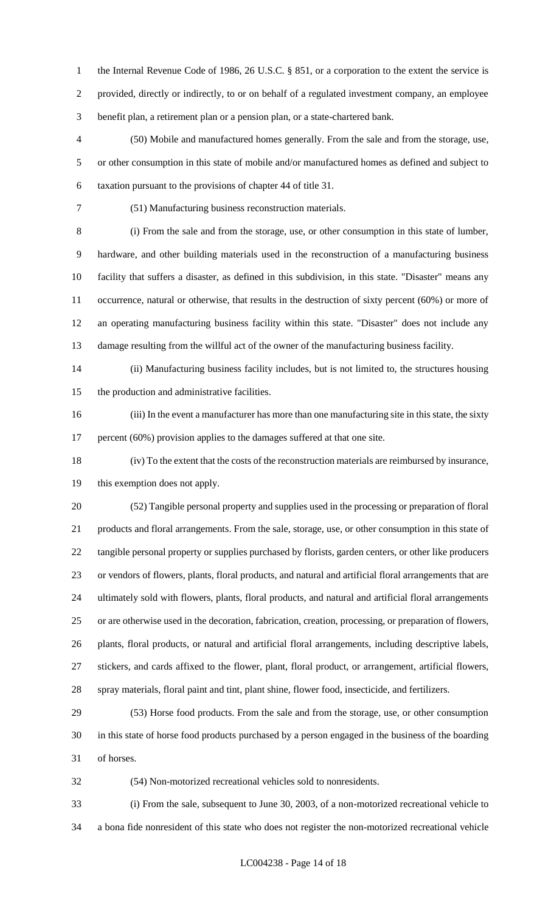1 the Internal Revenue Code of 1986, 26 U.S.C. § 851, or a corporation to the extent the service is provided, directly or indirectly, to or on behalf of a regulated investment company, an employee benefit plan, a retirement plan or a pension plan, or a state-chartered bank.

 (50) Mobile and manufactured homes generally. From the sale and from the storage, use, or other consumption in this state of mobile and/or manufactured homes as defined and subject to taxation pursuant to the provisions of chapter 44 of title 31.

(51) Manufacturing business reconstruction materials.

 (i) From the sale and from the storage, use, or other consumption in this state of lumber, hardware, and other building materials used in the reconstruction of a manufacturing business facility that suffers a disaster, as defined in this subdivision, in this state. "Disaster" means any occurrence, natural or otherwise, that results in the destruction of sixty percent (60%) or more of an operating manufacturing business facility within this state. "Disaster" does not include any damage resulting from the willful act of the owner of the manufacturing business facility.

 (ii) Manufacturing business facility includes, but is not limited to, the structures housing the production and administrative facilities.

 (iii) In the event a manufacturer has more than one manufacturing site in this state, the sixty 17 percent (60%) provision applies to the damages suffered at that one site.

 (iv) To the extent that the costs of the reconstruction materials are reimbursed by insurance, this exemption does not apply.

 (52) Tangible personal property and supplies used in the processing or preparation of floral products and floral arrangements. From the sale, storage, use, or other consumption in this state of tangible personal property or supplies purchased by florists, garden centers, or other like producers or vendors of flowers, plants, floral products, and natural and artificial floral arrangements that are ultimately sold with flowers, plants, floral products, and natural and artificial floral arrangements or are otherwise used in the decoration, fabrication, creation, processing, or preparation of flowers, plants, floral products, or natural and artificial floral arrangements, including descriptive labels, stickers, and cards affixed to the flower, plant, floral product, or arrangement, artificial flowers, spray materials, floral paint and tint, plant shine, flower food, insecticide, and fertilizers.

 (53) Horse food products. From the sale and from the storage, use, or other consumption in this state of horse food products purchased by a person engaged in the business of the boarding of horses.

(54) Non-motorized recreational vehicles sold to nonresidents.

 (i) From the sale, subsequent to June 30, 2003, of a non-motorized recreational vehicle to a bona fide nonresident of this state who does not register the non-motorized recreational vehicle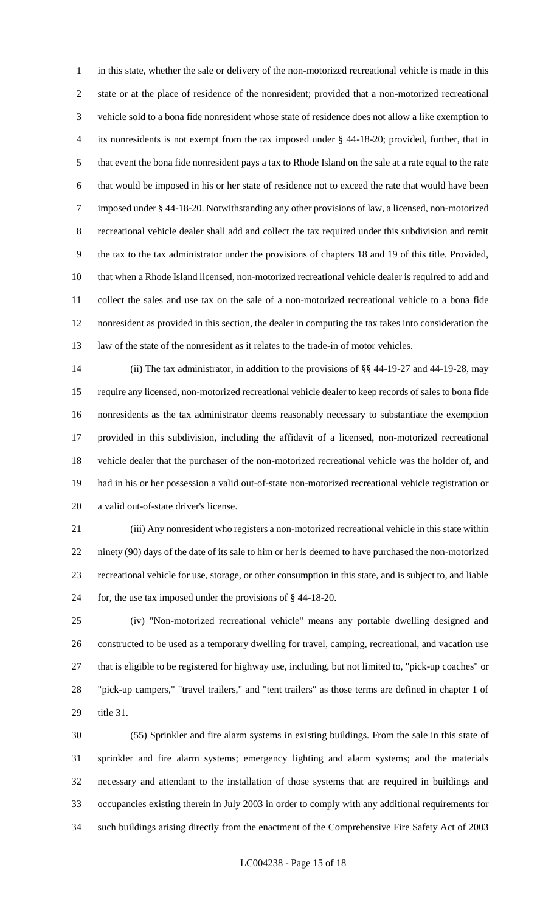in this state, whether the sale or delivery of the non-motorized recreational vehicle is made in this state or at the place of residence of the nonresident; provided that a non-motorized recreational vehicle sold to a bona fide nonresident whose state of residence does not allow a like exemption to its nonresidents is not exempt from the tax imposed under § 44-18-20; provided, further, that in that event the bona fide nonresident pays a tax to Rhode Island on the sale at a rate equal to the rate that would be imposed in his or her state of residence not to exceed the rate that would have been imposed under § 44-18-20. Notwithstanding any other provisions of law, a licensed, non-motorized recreational vehicle dealer shall add and collect the tax required under this subdivision and remit the tax to the tax administrator under the provisions of chapters 18 and 19 of this title. Provided, that when a Rhode Island licensed, non-motorized recreational vehicle dealer is required to add and collect the sales and use tax on the sale of a non-motorized recreational vehicle to a bona fide nonresident as provided in this section, the dealer in computing the tax takes into consideration the law of the state of the nonresident as it relates to the trade-in of motor vehicles.

 (ii) The tax administrator, in addition to the provisions of §§ 44-19-27 and 44-19-28, may require any licensed, non-motorized recreational vehicle dealer to keep records of sales to bona fide nonresidents as the tax administrator deems reasonably necessary to substantiate the exemption provided in this subdivision, including the affidavit of a licensed, non-motorized recreational vehicle dealer that the purchaser of the non-motorized recreational vehicle was the holder of, and had in his or her possession a valid out-of-state non-motorized recreational vehicle registration or a valid out-of-state driver's license.

 (iii) Any nonresident who registers a non-motorized recreational vehicle in this state within ninety (90) days of the date of its sale to him or her is deemed to have purchased the non-motorized recreational vehicle for use, storage, or other consumption in this state, and is subject to, and liable for, the use tax imposed under the provisions of § 44-18-20.

 (iv) "Non-motorized recreational vehicle" means any portable dwelling designed and constructed to be used as a temporary dwelling for travel, camping, recreational, and vacation use that is eligible to be registered for highway use, including, but not limited to, "pick-up coaches" or "pick-up campers," "travel trailers," and "tent trailers" as those terms are defined in chapter 1 of title 31.

 (55) Sprinkler and fire alarm systems in existing buildings. From the sale in this state of sprinkler and fire alarm systems; emergency lighting and alarm systems; and the materials necessary and attendant to the installation of those systems that are required in buildings and occupancies existing therein in July 2003 in order to comply with any additional requirements for such buildings arising directly from the enactment of the Comprehensive Fire Safety Act of 2003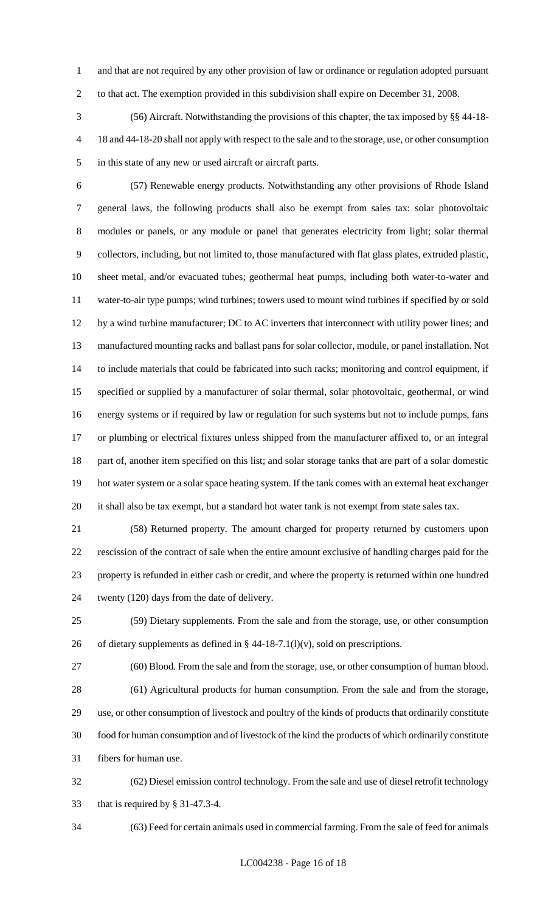and that are not required by any other provision of law or ordinance or regulation adopted pursuant to that act. The exemption provided in this subdivision shall expire on December 31, 2008.

 (56) Aircraft. Notwithstanding the provisions of this chapter, the tax imposed by §§ 44-18- 18 and 44-18-20 shall not apply with respect to the sale and to the storage, use, or other consumption in this state of any new or used aircraft or aircraft parts.

 (57) Renewable energy products. Notwithstanding any other provisions of Rhode Island general laws, the following products shall also be exempt from sales tax: solar photovoltaic modules or panels, or any module or panel that generates electricity from light; solar thermal collectors, including, but not limited to, those manufactured with flat glass plates, extruded plastic, sheet metal, and/or evacuated tubes; geothermal heat pumps, including both water-to-water and water-to-air type pumps; wind turbines; towers used to mount wind turbines if specified by or sold by a wind turbine manufacturer; DC to AC inverters that interconnect with utility power lines; and manufactured mounting racks and ballast pans for solar collector, module, or panel installation. Not to include materials that could be fabricated into such racks; monitoring and control equipment, if specified or supplied by a manufacturer of solar thermal, solar photovoltaic, geothermal, or wind energy systems or if required by law or regulation for such systems but not to include pumps, fans or plumbing or electrical fixtures unless shipped from the manufacturer affixed to, or an integral part of, another item specified on this list; and solar storage tanks that are part of a solar domestic hot water system or a solar space heating system. If the tank comes with an external heat exchanger it shall also be tax exempt, but a standard hot water tank is not exempt from state sales tax.

 (58) Returned property. The amount charged for property returned by customers upon rescission of the contract of sale when the entire amount exclusive of handling charges paid for the property is refunded in either cash or credit, and where the property is returned within one hundred twenty (120) days from the date of delivery.

 (59) Dietary supplements. From the sale and from the storage, use, or other consumption 26 of dietary supplements as defined in  $\S$  44-18-7.1(l)(v), sold on prescriptions.

 (60) Blood. From the sale and from the storage, use, or other consumption of human blood. (61) Agricultural products for human consumption. From the sale and from the storage, use, or other consumption of livestock and poultry of the kinds of products that ordinarily constitute food for human consumption and of livestock of the kind the products of which ordinarily constitute

fibers for human use.

 (62) Diesel emission control technology. From the sale and use of diesel retrofit technology that is required by § 31-47.3-4.

(63) Feed for certain animals used in commercial farming. From the sale of feed for animals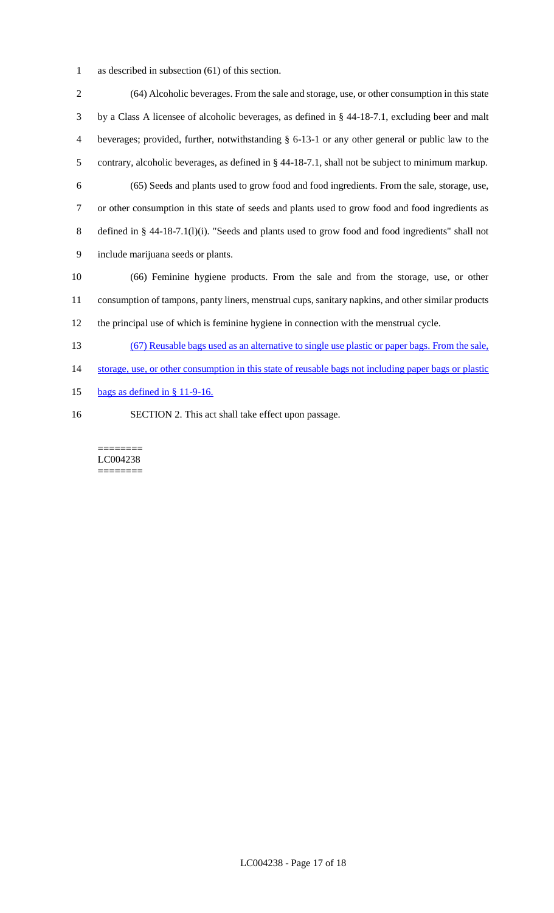as described in subsection (61) of this section.

 (64) Alcoholic beverages. From the sale and storage, use, or other consumption in this state by a Class A licensee of alcoholic beverages, as defined in § 44-18-7.1, excluding beer and malt beverages; provided, further, notwithstanding § 6-13-1 or any other general or public law to the contrary, alcoholic beverages, as defined in § 44-18-7.1, shall not be subject to minimum markup. (65) Seeds and plants used to grow food and food ingredients. From the sale, storage, use, or other consumption in this state of seeds and plants used to grow food and food ingredients as defined in § 44-18-7.1(l)(i). "Seeds and plants used to grow food and food ingredients" shall not include marijuana seeds or plants. (66) Feminine hygiene products. From the sale and from the storage, use, or other consumption of tampons, panty liners, menstrual cups, sanitary napkins, and other similar products the principal use of which is feminine hygiene in connection with the menstrual cycle. (67) Reusable bags used as an alternative to single use plastic or paper bags. From the sale, 14 storage, use, or other consumption in this state of reusable bags not including paper bags or plastic bags as defined in § 11-9-16.

SECTION 2. This act shall take effect upon passage.

======== LC004238 ========